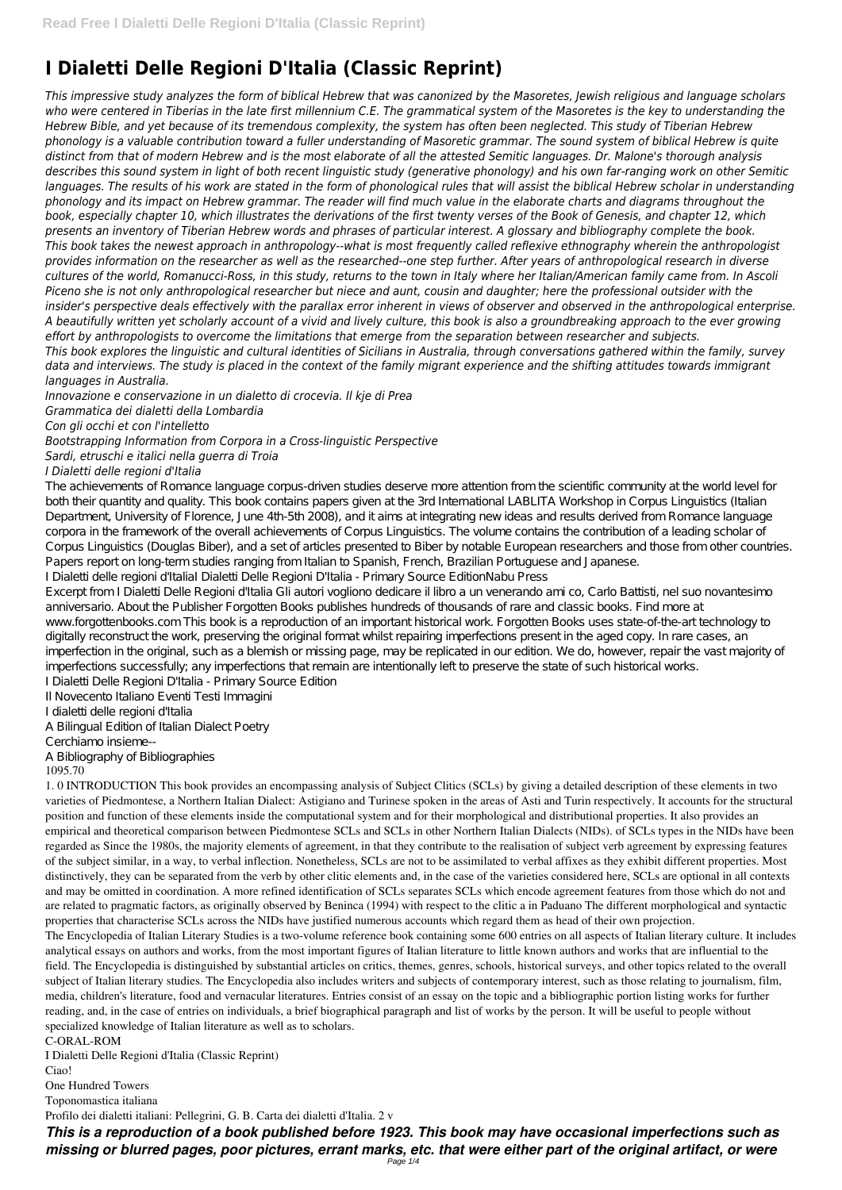# **I Dialetti Delle Regioni D'Italia (Classic Reprint)**

*This impressive study analyzes the form of biblical Hebrew that was canonized by the Masoretes, Jewish religious and language scholars* who were centered in Tiberias in the late first millennium C.E. The grammatical system of the Masoretes is the key to understanding the *Hebrew Bible, and yet because of its tremendous complexity, the system has often been neglected. This study of Tiberian Hebrew phonology is a valuable contribution toward a fuller understanding of Masoretic grammar. The sound system of biblical Hebrew is quite distinct from that of modern Hebrew and is the most elaborate of all the attested Semitic languages. Dr. Malone's thorough analysis describes this sound system in light of both recent linguistic study (generative phonology) and his own far-ranging work on other Semitic languages. The results of his work are stated in the form of phonological rules that will assist the biblical Hebrew scholar in understanding phonology and its impact on Hebrew grammar. The reader will find much value in the elaborate charts and diagrams throughout the book, especially chapter 10, which illustrates the derivations of the first twenty verses of the Book of Genesis, and chapter 12, which presents an inventory of Tiberian Hebrew words and phrases of particular interest. A glossary and bibliography complete the book. This book takes the newest approach in anthropology--what is most frequently called reflexive ethnography wherein the anthropologist provides information on the researcher as well as the researched--one step further. After years of anthropological research in diverse cultures of the world, Romanucci-Ross, in this study, returns to the town in Italy where her Italian/American family came from. In Ascoli Piceno she is not only anthropological researcher but niece and aunt, cousin and daughter; here the professional outsider with the insider's perspective deals effectively with the parallax error inherent in views of observer and observed in the anthropological enterprise. A beautifully written yet scholarly account of a vivid and lively culture, this book is also a groundbreaking approach to the ever growing effort by anthropologists to overcome the limitations that emerge from the separation between researcher and subjects. This book explores the linguistic and cultural identities of Sicilians in Australia, through conversations gathered within the family, survey data and interviews. The study is placed in the context of the family migrant experience and the shifting attitudes towards immigrant languages in Australia.*

*Innovazione e conservazione in un dialetto di crocevia. Il kje di Prea Grammatica dei dialetti della Lombardia Con gli occhi et con l'intelletto Bootstrapping Information from Corpora in a Cross-linguistic Perspective Sardi, etruschi e italici nella guerra di Troia*

### *I Dialetti delle regioni d'Italia*

The achievements of Romance language corpus-driven studies deserve more attention from the scientific community at the world level for both their quantity and quality. This book contains papers given at the 3rd International LABLITA Workshop in Corpus Linguistics (Italian Department, University of Florence, June 4th-5th 2008), and it aims at integrating new ideas and results derived from Romance language corpora in the framework of the overall achievements of Corpus Linguistics. The volume contains the contribution of a leading scholar of Corpus Linguistics (Douglas Biber), and a set of articles presented to Biber by notable European researchers and those from other countries. Papers report on long-term studies ranging from Italian to Spanish, French, Brazilian Portuguese and Japanese.

I Dialetti delle regioni d'ItaliaI Dialetti Delle Regioni D'Italia - Primary Source EditionNabu Press Excerpt from I Dialetti Delle Regioni d'Italia Gli autori vogliono dedicare il libro a un venerando ami co, Carlo Battisti, nel suo novantesimo

anniversario. About the Publisher Forgotten Books publishes hundreds of thousands of rare and classic books. Find more at www.forgottenbooks.com This book is a reproduction of an important historical work. Forgotten Books uses state-of-the-art technology to digitally reconstruct the work, preserving the original format whilst repairing imperfections present in the aged copy. In rare cases, an imperfection in the original, such as a blemish or missing page, may be replicated in our edition. We do, however, repair the vast majority of imperfections successfully; any imperfections that remain are intentionally left to preserve the state of such historical works.

I Dialetti Delle Regioni D'Italia - Primary Source Edition

Il Novecento Italiano Eventi Testi Immagini

I dialetti delle regioni d'Italia

A Bilingual Edition of Italian Dialect Poetry

Cerchiamo insieme--

A Bibliography of Bibliographies

### 1095.70

1. 0 INTRODUCTION This book provides an encompassing analysis of Subject Clitics (SCLs) by giving a detailed description of these elements in two varieties of Piedmontese, a Northern Italian Dialect: Astigiano and Turinese spoken in the areas of Asti and Turin respectively. It accounts for the structural position and function of these elements inside the computational system and for their morphological and distributional properties. It also provides an empirical and theoretical comparison between Piedmontese SCLs and SCLs in other Northern Italian Dialects (NIDs). of SCLs types in the NIDs have been regarded as Since the 1980s, the majority elements of agreement, in that they contribute to the realisation of subject verb agreement by expressing features of the subject similar, in a way, to verbal inflection. Nonetheless, SCLs are not to be assimilated to verbal affixes as they exhibit different properties. Most distinctively, they can be separated from the verb by other clitic elements and, in the case of the varieties considered here, SCLs are optional in all contexts and may be omitted in coordination. A more refined identification of SCLs separates SCLs which encode agreement features from those which do not and are related to pragmatic factors, as originally observed by Beninca (1994) with respect to the clitic a in Paduano The different morphological and syntactic properties that characterise SCLs across the NIDs have justified numerous accounts which regard them as head of their own projection. The Encyclopedia of Italian Literary Studies is a two-volume reference book containing some 600 entries on all aspects of Italian literary culture. It includes analytical essays on authors and works, from the most important figures of Italian literature to little known authors and works that are influential to the field. The Encyclopedia is distinguished by substantial articles on critics, themes, genres, schools, historical surveys, and other topics related to the overall subject of Italian literary studies. The Encyclopedia also includes writers and subjects of contemporary interest, such as those relating to journalism, film, media, children's literature, food and vernacular literatures. Entries consist of an essay on the topic and a bibliographic portion listing works for further reading, and, in the case of entries on individuals, a brief biographical paragraph and list of works by the person. It will be useful to people without specialized knowledge of Italian literature as well as to scholars. C-ORAL-ROM I Dialetti Delle Regioni d'Italia (Classic Reprint) Ciao!

One Hundred Towers

Toponomastica italiana

Profilo dei dialetti italiani: Pellegrini, G. B. Carta dei dialetti d'Italia. 2 v

*This is a reproduction of a book published before 1923. This book may have occasional imperfections such as missing or blurred pages, poor pictures, errant marks, etc. that were either part of the original artifact, or were* Page 1/4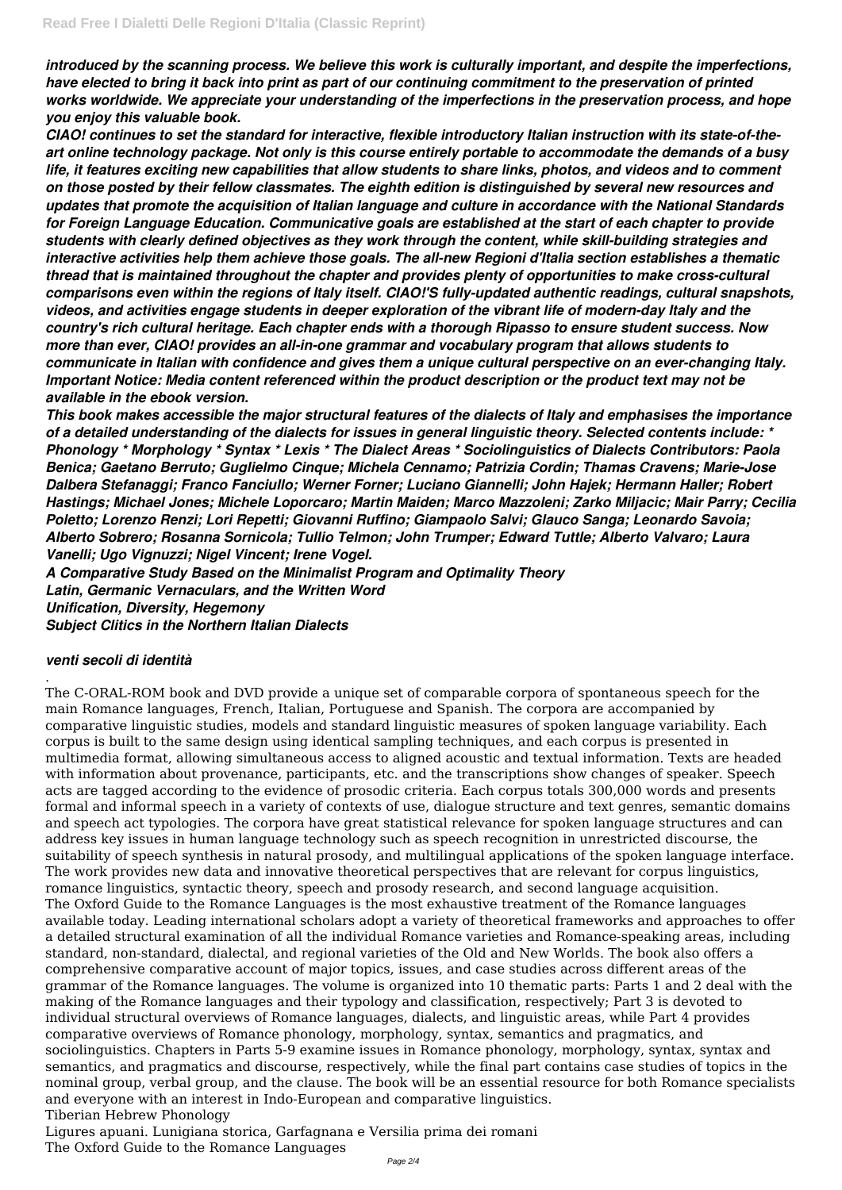*introduced by the scanning process. We believe this work is culturally important, and despite the imperfections, have elected to bring it back into print as part of our continuing commitment to the preservation of printed works worldwide. We appreciate your understanding of the imperfections in the preservation process, and hope you enjoy this valuable book.*

*CIAO! continues to set the standard for interactive, flexible introductory Italian instruction with its state-of-theart online technology package. Not only is this course entirely portable to accommodate the demands of a busy life, it features exciting new capabilities that allow students to share links, photos, and videos and to comment on those posted by their fellow classmates. The eighth edition is distinguished by several new resources and updates that promote the acquisition of Italian language and culture in accordance with the National Standards for Foreign Language Education. Communicative goals are established at the start of each chapter to provide students with clearly defined objectives as they work through the content, while skill-building strategies and interactive activities help them achieve those goals. The all-new Regioni d'Italia section establishes a thematic thread that is maintained throughout the chapter and provides plenty of opportunities to make cross-cultural comparisons even within the regions of Italy itself. CIAO!'S fully-updated authentic readings, cultural snapshots, videos, and activities engage students in deeper exploration of the vibrant life of modern-day Italy and the country's rich cultural heritage. Each chapter ends with a thorough Ripasso to ensure student success. Now more than ever, CIAO! provides an all-in-one grammar and vocabulary program that allows students to communicate in Italian with confidence and gives them a unique cultural perspective on an ever-changing Italy. Important Notice: Media content referenced within the product description or the product text may not be available in the ebook version.*

*This book makes accessible the major structural features of the dialects of Italy and emphasises the importance of a detailed understanding of the dialects for issues in general linguistic theory. Selected contents include: \* Phonology \* Morphology \* Syntax \* Lexis \* The Dialect Areas \* Sociolinguistics of Dialects Contributors: Paola Benica; Gaetano Berruto; Guglielmo Cinque; Michela Cennamo; Patrizia Cordin; Thamas Cravens; Marie-Jose Dalbera Stefanaggi; Franco Fanciullo; Werner Forner; Luciano Giannelli; John Hajek; Hermann Haller; Robert Hastings; Michael Jones; Michele Loporcaro; Martin Maiden; Marco Mazzoleni; Zarko Miljacic; Mair Parry; Cecilia Poletto; Lorenzo Renzi; Lori Repetti; Giovanni Ruffino; Giampaolo Salvi; Glauco Sanga; Leonardo Savoia; Alberto Sobrero; Rosanna Sornicola; Tullio Telmon; John Trumper; Edward Tuttle; Alberto Valvaro; Laura Vanelli; Ugo Vignuzzi; Nigel Vincent; Irene Vogel.*

*A Comparative Study Based on the Minimalist Program and Optimality Theory Latin, Germanic Vernaculars, and the Written Word Unification, Diversity, Hegemony Subject Clitics in the Northern Italian Dialects*

## *venti secoli di identità*

.

The C-ORAL-ROM book and DVD provide a unique set of comparable corpora of spontaneous speech for the main Romance languages, French, Italian, Portuguese and Spanish. The corpora are accompanied by comparative linguistic studies, models and standard linguistic measures of spoken language variability. Each corpus is built to the same design using identical sampling techniques, and each corpus is presented in multimedia format, allowing simultaneous access to aligned acoustic and textual information. Texts are headed with information about provenance, participants, etc. and the transcriptions show changes of speaker. Speech acts are tagged according to the evidence of prosodic criteria. Each corpus totals 300,000 words and presents formal and informal speech in a variety of contexts of use, dialogue structure and text genres, semantic domains and speech act typologies. The corpora have great statistical relevance for spoken language structures and can address key issues in human language technology such as speech recognition in unrestricted discourse, the suitability of speech synthesis in natural prosody, and multilingual applications of the spoken language interface. The work provides new data and innovative theoretical perspectives that are relevant for corpus linguistics, romance linguistics, syntactic theory, speech and prosody research, and second language acquisition. The Oxford Guide to the Romance Languages is the most exhaustive treatment of the Romance languages available today. Leading international scholars adopt a variety of theoretical frameworks and approaches to offer a detailed structural examination of all the individual Romance varieties and Romance-speaking areas, including standard, non-standard, dialectal, and regional varieties of the Old and New Worlds. The book also offers a comprehensive comparative account of major topics, issues, and case studies across different areas of the grammar of the Romance languages. The volume is organized into 10 thematic parts: Parts 1 and 2 deal with the making of the Romance languages and their typology and classification, respectively; Part 3 is devoted to individual structural overviews of Romance languages, dialects, and linguistic areas, while Part 4 provides comparative overviews of Romance phonology, morphology, syntax, semantics and pragmatics, and sociolinguistics. Chapters in Parts 5-9 examine issues in Romance phonology, morphology, syntax, syntax and semantics, and pragmatics and discourse, respectively, while the final part contains case studies of topics in the nominal group, verbal group, and the clause. The book will be an essential resource for both Romance specialists and everyone with an interest in Indo-European and comparative linguistics. Tiberian Hebrew Phonology Ligures apuani. Lunigiana storica, Garfagnana e Versilia prima dei romani The Oxford Guide to the Romance Languages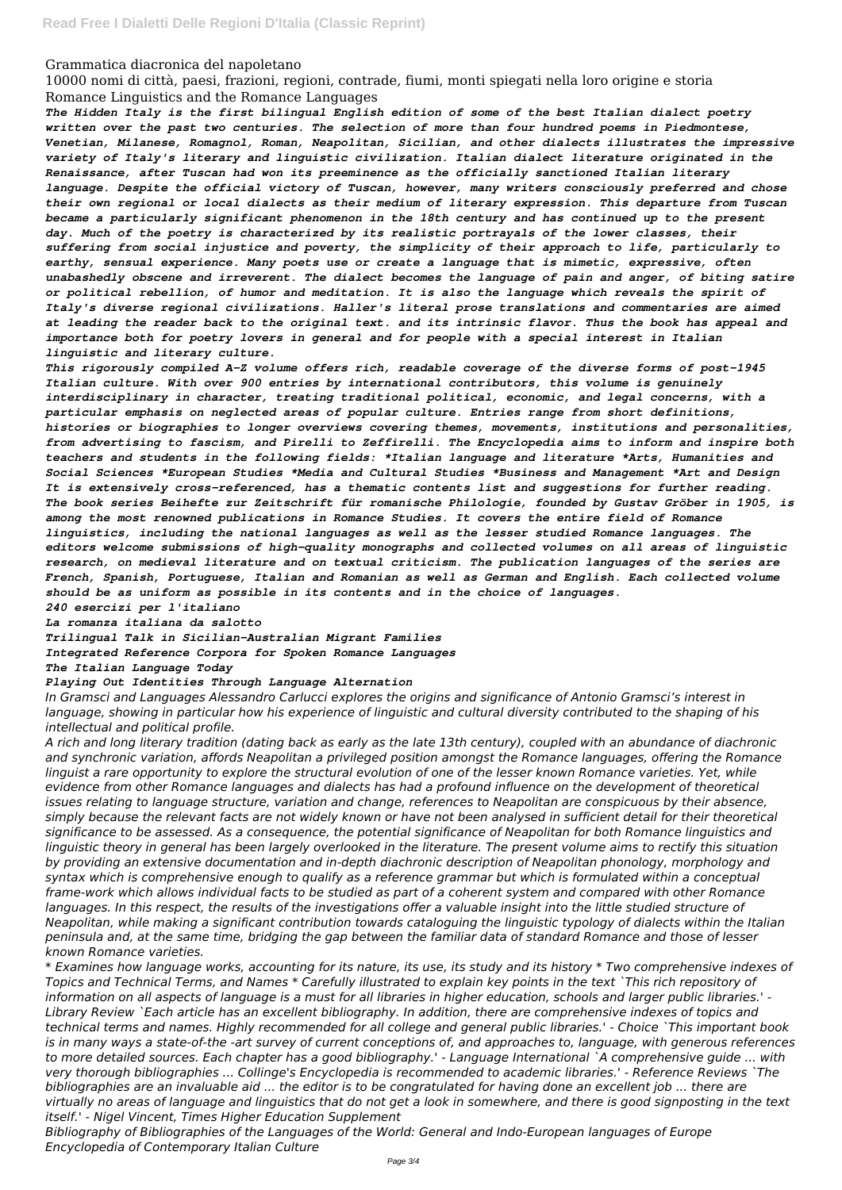### Grammatica diacronica del napoletano

10000 nomi di città, paesi, frazioni, regioni, contrade, fiumi, monti spiegati nella loro origine e storia Romance Linguistics and the Romance Languages

*The Hidden Italy is the first bilingual English edition of some of the best Italian dialect poetry written over the past two centuries. The selection of more than four hundred poems in Piedmontese, Venetian, Milanese, Romagnol, Roman, Neapolitan, Sicilian, and other dialects illustrates the impressive variety of Italy's literary and linguistic civilization. Italian dialect literature originated in the Renaissance, after Tuscan had won its preeminence as the officially sanctioned Italian literary language. Despite the official victory of Tuscan, however, many writers consciously preferred and chose their own regional or local dialects as their medium of literary expression. This departure from Tuscan became a particularly significant phenomenon in the 18th century and has continued up to the present day. Much of the poetry is characterized by its realistic portrayals of the lower classes, their suffering from social injustice and poverty, the simplicity of their approach to life, particularly to earthy, sensual experience. Many poets use or create a language that is mimetic, expressive, often unabashedly obscene and irreverent. The dialect becomes the language of pain and anger, of biting satire or political rebellion, of humor and meditation. It is also the language which reveals the spirit of Italy's diverse regional civilizations. Haller's literal prose translations and commentaries are aimed at leading the reader back to the original text. and its intrinsic flavor. Thus the book has appeal and importance both for poetry lovers in general and for people with a special interest in Italian linguistic and literary culture.*

*This rigorously compiled A-Z volume offers rich, readable coverage of the diverse forms of post-1945 Italian culture. With over 900 entries by international contributors, this volume is genuinely interdisciplinary in character, treating traditional political, economic, and legal concerns, with a particular emphasis on neglected areas of popular culture. Entries range from short definitions, histories or biographies to longer overviews covering themes, movements, institutions and personalities, from advertising to fascism, and Pirelli to Zeffirelli. The Encyclopedia aims to inform and inspire both teachers and students in the following fields: \*Italian language and literature \*Arts, Humanities and Social Sciences \*European Studies \*Media and Cultural Studies \*Business and Management \*Art and Design It is extensively cross-referenced, has a thematic contents list and suggestions for further reading. The book series Beihefte zur Zeitschrift für romanische Philologie, founded by Gustav Gröber in 1905, is among the most renowned publications in Romance Studies. It covers the entire field of Romance linguistics, including the national languages as well as the lesser studied Romance languages. The editors welcome submissions of high-quality monographs and collected volumes on all areas of linguistic research, on medieval literature and on textual criticism. The publication languages of the series are French, Spanish, Portuguese, Italian and Romanian as well as German and English. Each collected volume should be as uniform as possible in its contents and in the choice of languages.*

#### *240 esercizi per l'italiano*

*La romanza italiana da salotto*

*Trilingual Talk in Sicilian-Australian Migrant Families*

*Integrated Reference Corpora for Spoken Romance Languages*

*The Italian Language Today*

#### *Playing Out Identities Through Language Alternation*

*In Gramsci and Languages Alessandro Carlucci explores the origins and significance of Antonio Gramsci's interest in language, showing in particular how his experience of linguistic and cultural diversity contributed to the shaping of his intellectual and political profile.*

*A rich and long literary tradition (dating back as early as the late 13th century), coupled with an abundance of diachronic and synchronic variation, affords Neapolitan a privileged position amongst the Romance languages, offering the Romance* linguist a rare opportunity to explore the structural evolution of one of the lesser known Romance varieties. Yet, while *evidence from other Romance languages and dialects has had a profound influence on the development of theoretical issues relating to language structure, variation and change, references to Neapolitan are conspicuous by their absence, simply because the relevant facts are not widely known or have not been analysed in sufficient detail for their theoretical significance to be assessed. As a consequence, the potential significance of Neapolitan for both Romance linguistics and linguistic theory in general has been largely overlooked in the literature. The present volume aims to rectify this situation by providing an extensive documentation and in-depth diachronic description of Neapolitan phonology, morphology and syntax which is comprehensive enough to qualify as a reference grammar but which is formulated within a conceptual frame-work which allows individual facts to be studied as part of a coherent system and compared with other Romance languages. In this respect, the results of the investigations offer a valuable insight into the little studied structure of Neapolitan, while making a significant contribution towards cataloguing the linguistic typology of dialects within the Italian peninsula and, at the same time, bridging the gap between the familiar data of standard Romance and those of lesser known Romance varieties. \* Examines how language works, accounting for its nature, its use, its study and its history \* Two comprehensive indexes of Topics and Technical Terms, and Names \* Carefully illustrated to explain key points in the text `This rich repository of information on all aspects of language is a must for all libraries in higher education, schools and larger public libraries.' - Library Review `Each article has an excellent bibliography. In addition, there are comprehensive indexes of topics and technical terms and names. Highly recommended for all college and general public libraries.' - Choice `This important book is in many ways a state-of-the -art survey of current conceptions of, and approaches to, language, with generous references to more detailed sources. Each chapter has a good bibliography.' - Language International `A comprehensive guide ... with very thorough bibliographies ... Collinge's Encyclopedia is recommended to academic libraries.' - Reference Reviews `The bibliographies are an invaluable aid ... the editor is to be congratulated for having done an excellent job ... there are virtually no areas of language and linguistics that do not get a look in somewhere, and there is good signposting in the text itself.' - Nigel Vincent, Times Higher Education Supplement Bibliography of Bibliographies of the Languages of the World: General and Indo-European languages of Europe Encyclopedia of Contemporary Italian Culture*